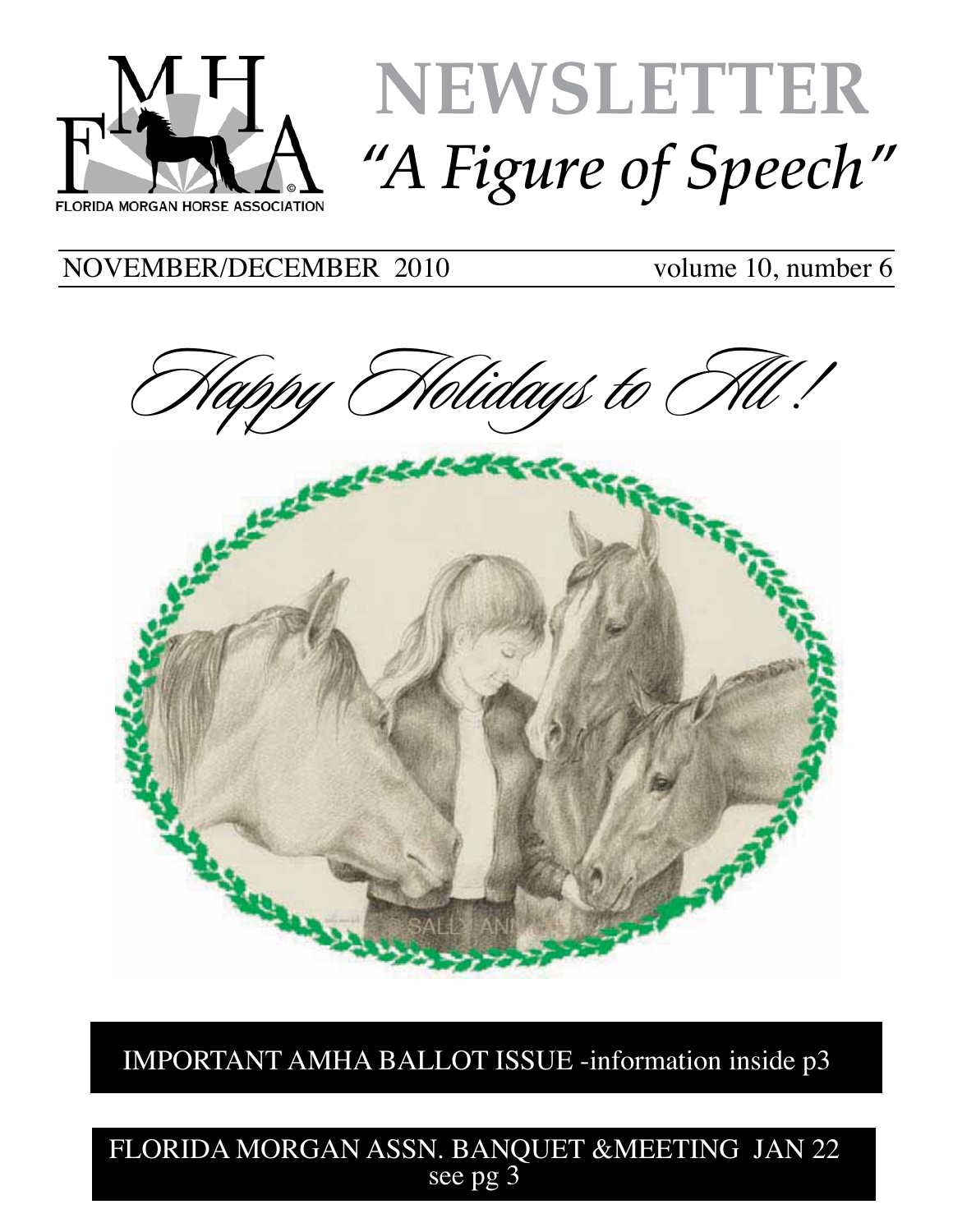

# **NEWSLETTER** *"A Figure of Speech"*

NOVEMBER/DECEMBER 2010 volume 10, number 6



IMPORTANT AMHA BALLOT ISSUE -information inside p3

FLORIDA MORGAN ASSN. BANQUET &MEETING JAN 22 see pg 3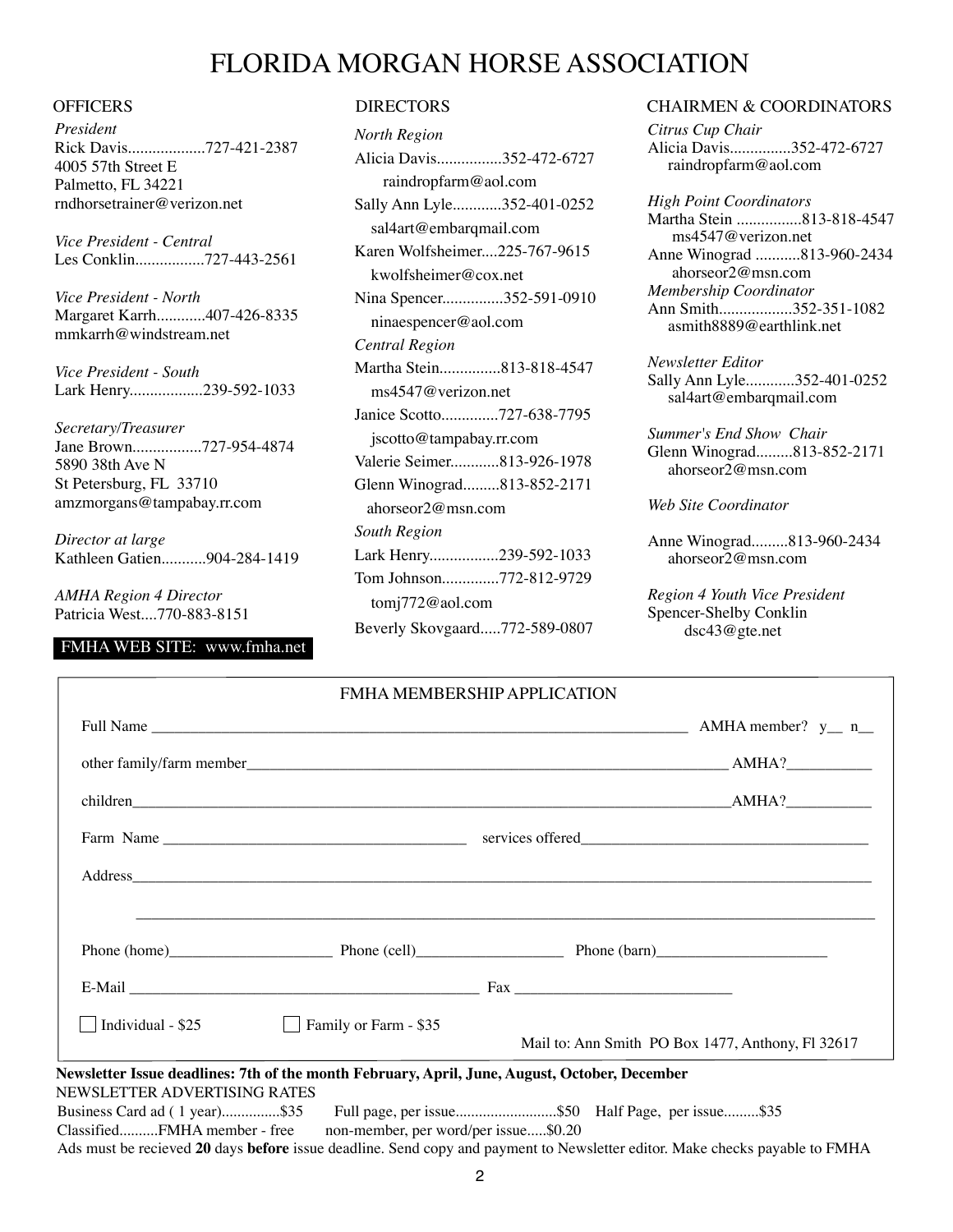# FLORIDA MORGAN HORSE ASSOCIATION

*President* Rick Davis...................727-421-2387 4005 57th Street E Palmetto, FL 34221 rndhorsetrainer@verizon.net

*Vice President - Central* Les Conklin.................727-443-2561

*Vice President - North* Margaret Karrh............407-426-8335 mmkarrh@windstream.net

*Vice President - South* Lark Henry..................239-592-1033

*Secretary/Treasurer* Jane Brown.................727-954-4874 5890 38th Ave N St Petersburg, FL 33710 amzmorgans@tampabay.rr.com

*Director at large* Kathleen Gatien...........904-284-1419

*AMHA Region 4 Director* Patricia West....770-883-8151

# FMHA WEB SITE: www.fmha.net

| <b>North Region</b>           |
|-------------------------------|
| Alicia Davis352-472-6727      |
| raindropfarm@aol.com          |
| Sally Ann Lyle352-401-0252    |
| sal4art@embarqmail.com        |
| Karen Wolfsheimer225-767-9615 |
| kwolfsheimer@cox.net          |
| Nina Spencer352-591-0910      |
| ninaespencer@aol.com          |
| Central Region                |
| Martha Stein813-818-4547      |
| ms4547@verizon.net            |
| Janice Scotto727-638-7795     |
| jscotto@tampabay.rr.com       |
| Valerie Seimer813-926-1978    |
| Glenn Winograd813-852-2171    |
| ahorseor $2@$ msn.com         |
| <b>South Region</b>           |
| Lark Henry239-592-1033        |
| Tom Johnson772-812-9729       |
| tomj772@aol.com               |
| Beverly Skovgaard772-589-0807 |

## OFFICERS DIRECTORS DIRECTORS CHAIRMEN & COORDINATORS

*Citrus Cup Chair* Alicia Davis...............352-472-6727 raindropfarm@aol.com

*High Point Coordinators* Martha Stein ................813-818-4547 ms4547@verizon.net Anne Winograd ...........813-960-2434 ahorseor2@msn.com *Membership Coordinator* Ann Smith..................352-351-1082 asmith8889@earthlink.net

*Newsletter Editor* Sally Ann Lyle............352-401-0252 sal4art@embarqmail.com

*Summer's End Show Chair* Glenn Winograd.........813-852-2171 ahorseor2@msn.com

*Web Site Coordinator*

Anne Winograd.........813-960-2434 ahorseor2@msn.com

*Region 4 Youth Vice President* Spencer-Shelby Conklin dsc43@gte.net

| □ Individual - \$25 = Elemily or Farm - \$35<br>Mail to: Ann Smith PO Box 1477, Anthony, Fl 32617                                                                                                   |  |
|-----------------------------------------------------------------------------------------------------------------------------------------------------------------------------------------------------|--|
| Newsletter Issue deadlines: 7th of the month February, April, June, August, October, December                                                                                                       |  |
| NEWSLETTER ADVERTISING RATES                                                                                                                                                                        |  |
| Business Card ad (1 year)\$35 Full page, per issue\$50 Half Page, per issue\$35                                                                                                                     |  |
| ClassifiedFMHA member - free<br>non-member, per word/per issue\$0.20<br>Ads must be recieved 20 days before issue deadline. Send copy and payment to Newsletter editor. Make checks payable to FMHA |  |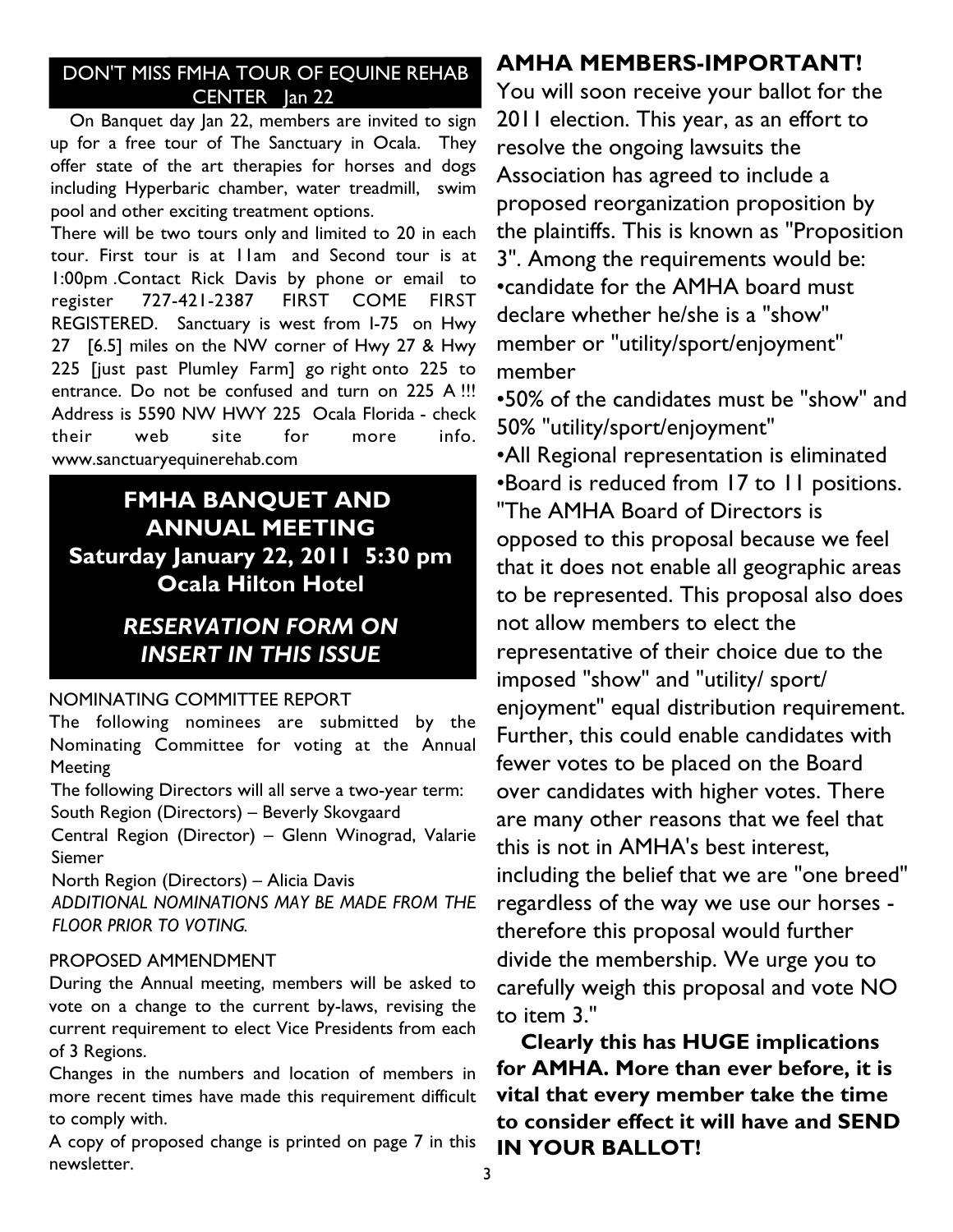# DON'T MISS FMHA TOUR OF EQUINE REHAB CENTER Jan 22

On Banquet day Jan 22, members are invited to sign up for a free tour of The Sanctuary in Ocala. They offer state of the art therapies for horses and dogs including Hyperbaric chamber, water treadmill, swim pool and other exciting treatment options.

There will be two tours only and limited to 20 in each tour. First tour is at 11am and Second tour is at 1:00pm .Contact Rick Davis by phone or email to register 727-421-2387 FIRST COME FIRST REGISTERED. Sanctuary is west from I-75 on Hwy 27 [6.5] miles on the NW corner of Hwy 27 & Hwy 225 [just past Plumley Farm] go right onto 225 to entrance. Do not be confused and turn on 225 A !!! Address is 5590 NW HWY 225 Ocala Florida - check their web site for more info. www.sanctuaryequinerehab.com

# **FMHA BANQUET AND ANNUAL MEETING Saturday January 22, 2011 5:30 pm Ocala Hilton Hotel**

# *RESERVATION FORM ON INSERT IN THIS ISSUE*

# NOMINATING COMMITTEE REPORT

The following nominees are submitted by the Nominating Committee for voting at the Annual **Meeting** 

The following Directors will all serve a two-year term: South Region (Directors) – Beverly Skovgaard

Central Region (Director) – Glenn Winograd, Valarie Siemer

North Region (Directors) – Alicia Davis *ADDITIONAL NOMINATIONS MAY BE MADE FROM THE FLOOR PRIOR TO VOTING.*

# PROPOSED AMMENDMENT

During the Annual meeting, members will be asked to vote on a change to the current by-laws, revising the current requirement to elect Vice Presidents from each of 3 Regions.

Changes in the numbers and location of members in more recent times have made this requirement difficult to comply with.

A copy of proposed change is printed on page 7 in this newsletter.

# **AMHA MEMBERS-IMPORTANT!**

You will soon receive your ballot for the 2011 election. This year, as an effort to resolve the ongoing lawsuits the Association has agreed to include a proposed reorganization proposition by the plaintiffs. This is known as "Proposition 3". Among the requirements would be: •candidate for the AMHA board must declare whether he/she is a "show" member or "utility/sport/enjoyment" member

•50% of the candidates must be "show" and 50% "utility/sport/enjoyment"

•All Regional representation is eliminated •Board is reduced from 17 to 11 positions. "The AMHA Board of Directors is opposed to this proposal because we feel that it does not enable all geographic areas to be represented. This proposal also does not allow members to elect the representative of their choice due to the imposed "show" and "utility/ sport/ enjoyment" equal distribution requirement. Further, this could enable candidates with fewer votes to be placed on the Board over candidates with higher votes. There are many other reasons that we feel that this is not in AMHA's best interest, including the belief that we are "one breed" regardless of the way we use our horses therefore this proposal would further divide the membership. We urge you to carefully weigh this proposal and vote NO to item 3."

**Clearly this has HUGE implications for AMHA. More than ever before, it is vital that every member take the time to consider effect it will have and SEND IN YOUR BALLOT!**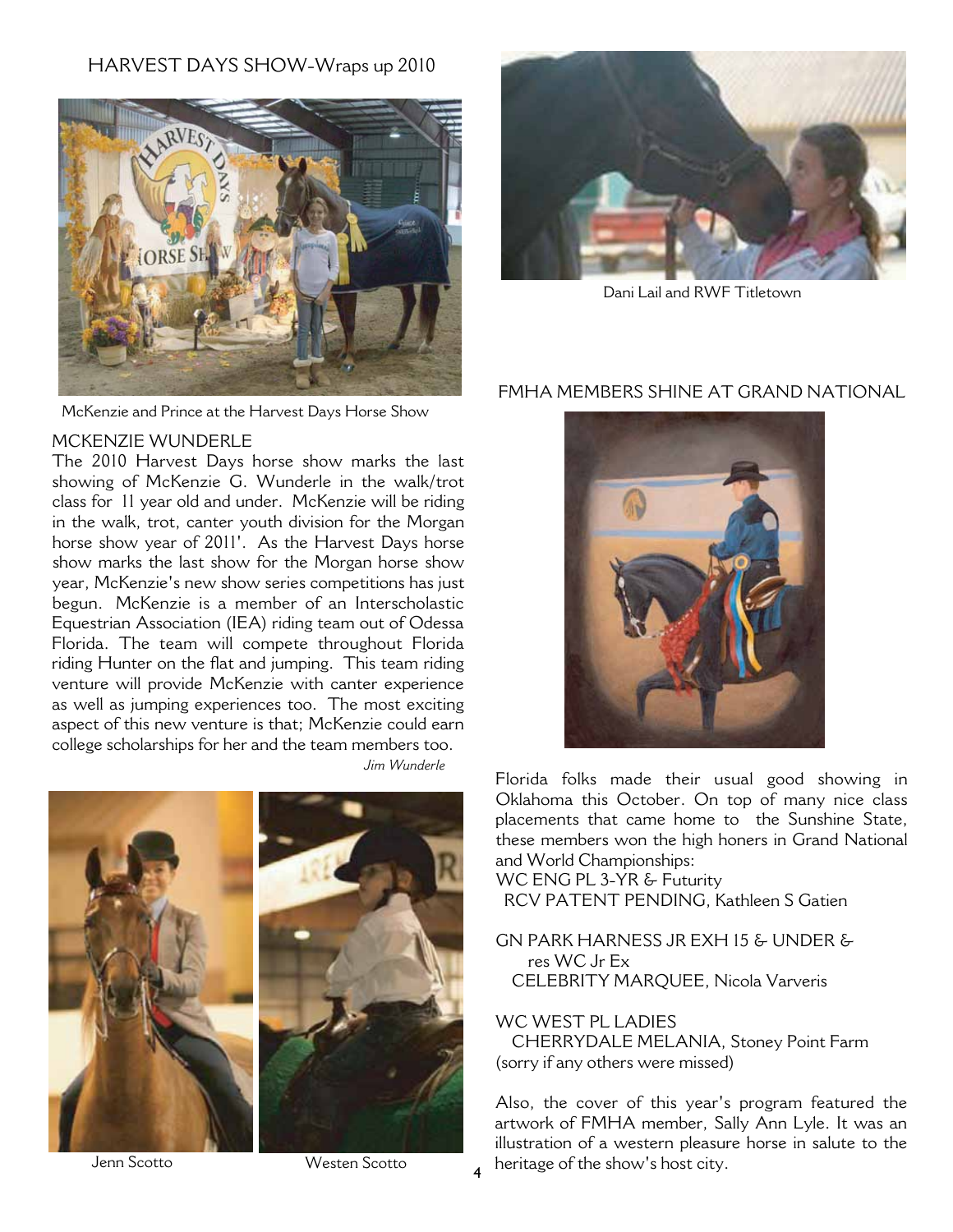# HARVEST DAYS SHOW-Wraps up 2010



McKenzie and Prince at the Harvest Days Horse Show

# MCKENZIE WUNDERLE

The 2010 Harvest Days horse show marks the last showing of McKenzie G. Wunderle in the walk/trot class for 11 year old and under. McKenzie will be riding in the walk, trot, canter youth division for the Morgan horse show year of 2011'. As the Harvest Days horse show marks the last show for the Morgan horse show year, McKenzie's new show series competitions has just begun. McKenzie is a member of an Interscholastic Equestrian Association (IEA) riding team out of Odessa Florida. The team will compete throughout Florida riding Hunter on the flat and jumping. This team riding venture will provide McKenzie with canter experience as well as jumping experiences too. The most exciting aspect of this new venture is that; McKenzie could earn college scholarships for her and the team members too. *Jim Wunderle*





Jenn Scotto

Westen Scotto



Dani Lail and RWF Titletown

# FMHA MEMBERS SHINE AT GRAND NATIONAL



Florida folks made their usual good showing in Oklahoma this October. On top of many nice class placements that came home to the Sunshine State, these members won the high honers in Grand National and World Championships:

WC ENG PL 3-YR & Futurity RCV PATENT PENDING, Kathleen S Gatien

GN PARK HARNESS JR EXH 15 & UNDER & res WC Jr Ex CELEBRITY MARQUEE, Nicola Varveris

WC WEST PL LADIES

CHERRYDALE MELANIA, Stoney Point Farm (sorry if any others were missed)

Also, the cover of this year's program featured the artwork of FMHA member, Sally Ann Lyle. It was an illustration of a western pleasure horse in salute to the heritage of the show's host city.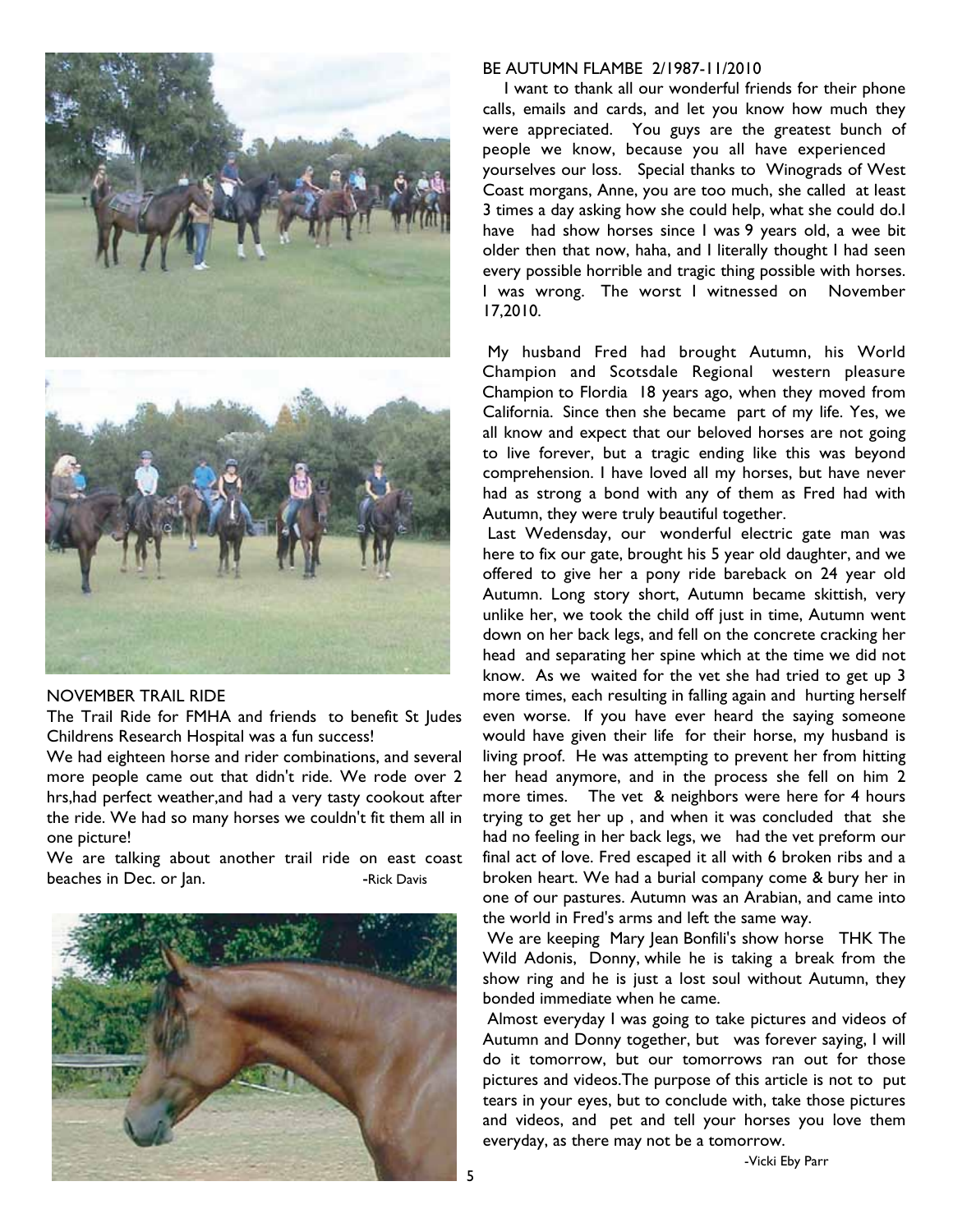



# NOVEMBER TRAIL RIDE

The Trail Ride for FMHA and friends to benefit St Judes Childrens Research Hospital was a fun success!

We had eighteen horse and rider combinations, and several more people came out that didn't ride. We rode over 2 hrs,had perfect weather,and had a very tasty cookout after the ride. We had so many horses we couldn't fit them all in one picture!

We are talking about another trail ride on east coast beaches in Dec. or Jan. The state of the Pavis search of the Pavis



## BE AUTUMN FLAMBE 2/1987-11/2010

I want to thank all our wonderful friends for their phone calls, emails and cards, and let you know how much they were appreciated. You guys are the greatest bunch of people we know, because you all have experienced yourselves our loss. Special thanks to Winograds of West Coast morgans, Anne, you are too much, she called at least 3 times a day asking how she could help, what she could do.I have had show horses since I was 9 years old, a wee bit older then that now, haha, and I literally thought I had seen every possible horrible and tragic thing possible with horses. I was wrong. The worst I witnessed on November 17,2010.

My husband Fred had brought Autumn, his World Champion and Scotsdale Regional western pleasure Champion to Flordia 18 years ago, when they moved from California. Since then she became part of my life. Yes, we all know and expect that our beloved horses are not going to live forever, but a tragic ending like this was beyond comprehension. I have loved all my horses, but have never had as strong a bond with any of them as Fred had with Autumn, they were truly beautiful together.

Last Wedensday, our wonderful electric gate man was here to fix our gate, brought his 5 year old daughter, and we offered to give her a pony ride bareback on 24 year old Autumn. Long story short, Autumn became skittish, very unlike her, we took the child off just in time, Autumn went down on her back legs, and fell on the concrete cracking her head and separating her spine which at the time we did not know. As we waited for the vet she had tried to get up 3 more times, each resulting in falling again and hurting herself even worse. If you have ever heard the saying someone would have given their life for their horse, my husband is living proof. He was attempting to prevent her from hitting her head anymore, and in the process she fell on him 2 more times. The vet & neighbors were here for 4 hours trying to get her up , and when it was concluded that she had no feeling in her back legs, we had the vet preform our final act of love. Fred escaped it all with 6 broken ribs and a broken heart. We had a burial company come & bury her in one of our pastures. Autumn was an Arabian, and came into the world in Fred's arms and left the same way.

We are keeping Mary Jean Bonfili's show horse THK The Wild Adonis, Donny, while he is taking a break from the show ring and he is just a lost soul without Autumn, they bonded immediate when he came.

Almost everyday I was going to take pictures and videos of Autumn and Donny together, but was forever saying, I will do it tomorrow, but our tomorrows ran out for those pictures and videos.The purpose of this article is not to put tears in your eyes, but to conclude with, take those pictures and videos, and pet and tell your horses you love them everyday, as there may not be a tomorrow.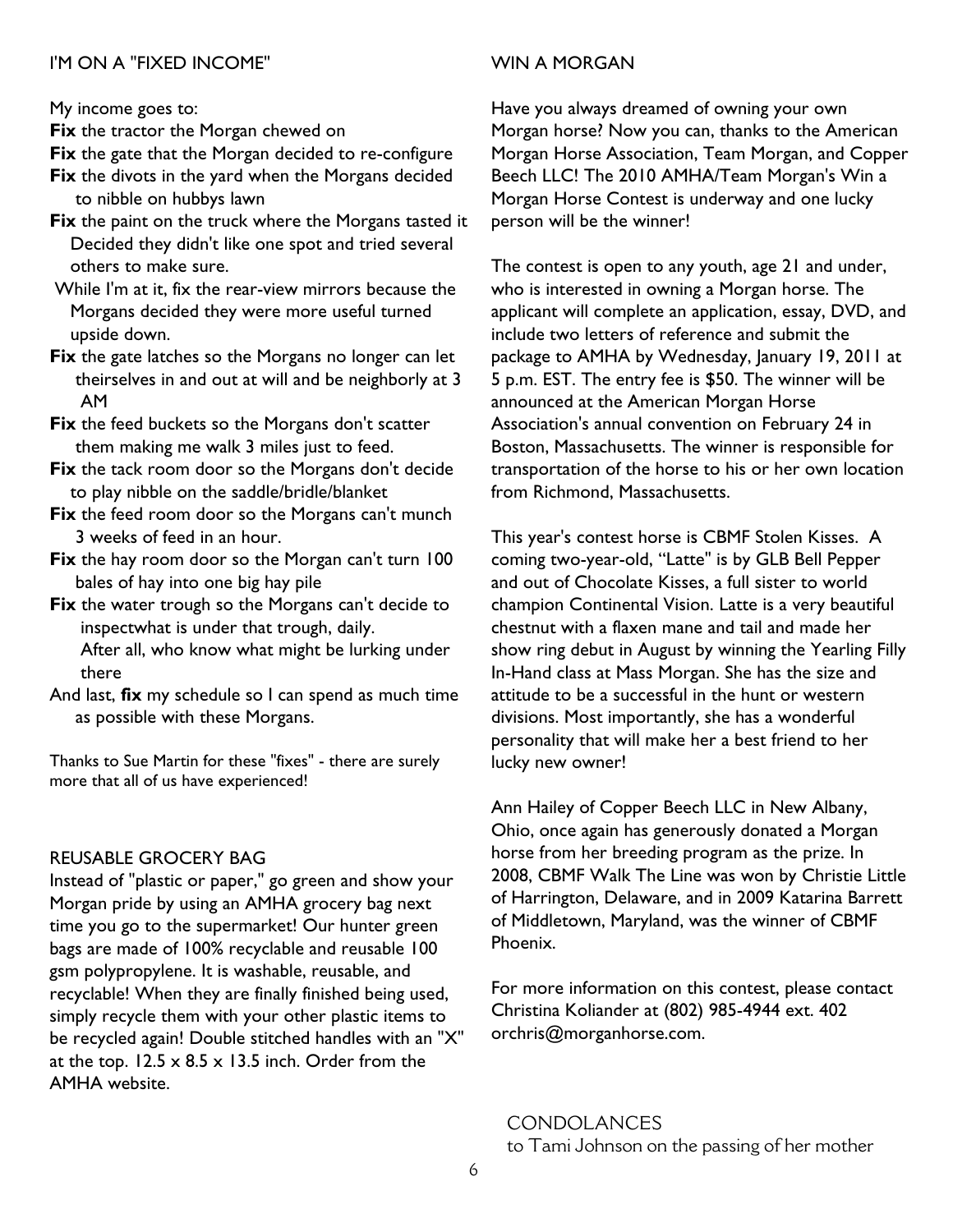# I'M ON A "FIXED INCOME"

My income goes to:

**Fix** the tractor the Morgan chewed on

Fix the gate that the Morgan decided to re-configure

- **Fix** the divots in the yard when the Morgans decided to nibble on hubbys lawn
- **Fix** the paint on the truck where the Morgans tasted it Decided they didn't like one spot and tried several others to make sure.
- While I'm at it, fix the rear-view mirrors because the Morgans decided they were more useful turned upside down.
- **Fix** the gate latches so the Morgans no longer can let theirselves in and out at will and be neighborly at 3 AM
- **Fix** the feed buckets so the Morgans don't scatter them making me walk 3 miles just to feed.
- **Fix** the tack room door so the Morgans don't decide to play nibble on the saddle/bridle/blanket
- Fix the feed room door so the Morgans can't munch 3 weeks of feed in an hour.
- Fix the hay room door so the Morgan can't turn 100 bales of hay into one big hay pile
- **Fix** the water trough so the Morgans can't decide to inspectwhat is under that trough, daily.

After all, who know what might be lurking under there

And last, **fix** my schedule so I can spend as much time as possible with these Morgans.

Thanks to Sue Martin for these "fixes" - there are surely more that all of us have experienced!

# REUSABLE GROCERY BAG

Instead of "plastic or paper," go green and show your Morgan pride by using an AMHA grocery bag next time you go to the supermarket! Our hunter green bags are made of 100% recyclable and reusable 100 gsm polypropylene. It is washable, reusable, and recyclable! When they are finally finished being used, simply recycle them with your other plastic items to be recycled again! Double stitched handles with an "X" at the top.  $12.5 \times 8.5 \times 13.5$  inch. Order from the AMHA website.

# WIN A MORGAN

Have you always dreamed of owning your own Morgan horse? Now you can, thanks to the American Morgan Horse Association, Team Morgan, and Copper Beech LLC! The 2010 AMHA/Team Morgan's Win a Morgan Horse Contest is underway and one lucky person will be the winner!

The contest is open to any youth, age 21 and under, who is interested in owning a Morgan horse. The applicant will complete an application, essay, DVD, and include two letters of reference and submit the package to AMHA by Wednesday, January 19, 2011 at 5 p.m. EST. The entry fee is \$50. The winner will be announced at the American Morgan Horse Association's annual convention on February 24 in Boston, Massachusetts. The winner is responsible for transportation of the horse to his or her own location from Richmond, Massachusetts.

This year's contest horse is CBMF Stolen Kisses. A coming two-year-old, "Latte" is by GLB Bell Pepper and out of Chocolate Kisses, a full sister to world champion Continental Vision. Latte is a very beautiful chestnut with a flaxen mane and tail and made her show ring debut in August by winning the Yearling Filly In-Hand class at Mass Morgan. She has the size and attitude to be a successful in the hunt or western divisions. Most importantly, she has a wonderful personality that will make her a best friend to her lucky new owner!

Ann Hailey of Copper Beech LLC in New Albany, Ohio, once again has generously donated a Morgan horse from her breeding program as the prize. In 2008, CBMF Walk The Line was won by Christie Little of Harrington, Delaware, and in 2009 Katarina Barrett of Middletown, Maryland, was the winner of CBMF Phoenix.

For more information on this contest, please contact Christina Koliander at (802) 985-4944 ext. 402 orchris@morganhorse.com.

# **CONDOLANCES**

to Tami Johnson on the passing of her mother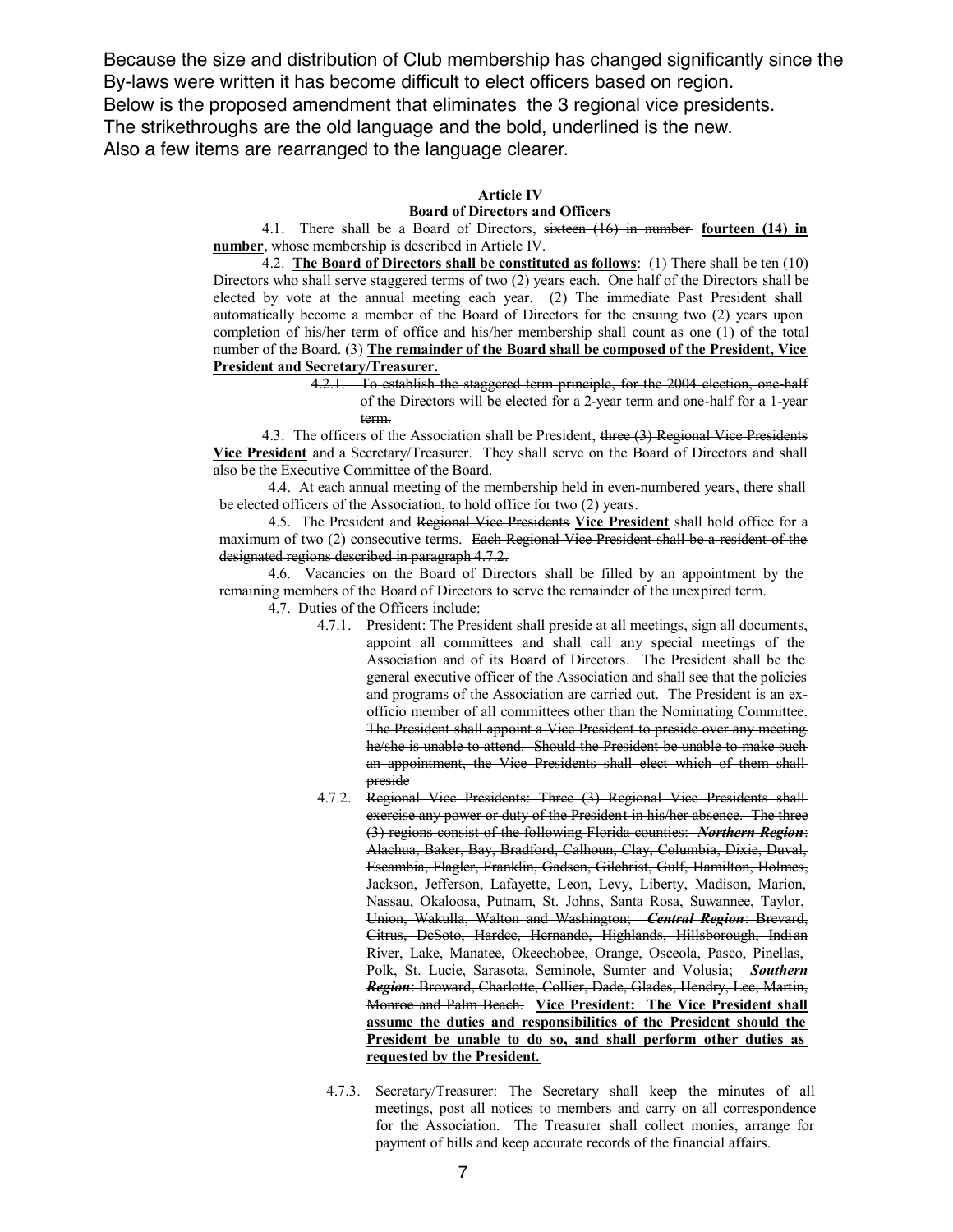Because the size and distribution of Club membership has changed significantly since the By-laws were written it has become difficult to elect officers based on region. Below is the proposed amendment that eliminates the 3 regional vice presidents. The strikethroughs are the old language and the bold, underlined is the new. Also a few items are rearranged to the language clearer.

## **Article IV**

### **Board of Directors and Officers**

4.1. There shall be a Board of Directors, sixteen (16) in number **fourteen (14) in number**, whose membership is described in Article IV.

4.2. **The Board of Directors shall be constituted as follows**: (1) There shall be ten (10) Directors who shall serve staggered terms of two (2) years each. One half of the Directors shall be elected by vote at the annual meeting each year. (2) The immediate Past President shall automatically become a member of the Board of Directors for the ensuing two (2) years upon completion of his/her term of office and his/her membership shall count as one (1) of the total number of the Board. (3) **The remainder of the Board shall be composed of the President, Vice President and Secretary/Treasurer.**

4.2.1. To establish the staggered term principle, for the 2004 election, one-half of the Directors will be elected for a 2-year term and one-half for a 1-year term.

4.3. The officers of the Association shall be President, three (3) Regional Vice Presidents **Vice President** and a Secretary/Treasurer. They shall serve on the Board of Directors and shall also be the Executive Committee of the Board.

4.4. At each annual meeting of the membership held in even-numbered years, there shall be elected officers of the Association, to hold office for two (2) years.

4.5. The President and Regional Vice Presidents **Vice President** shall hold office for a maximum of two (2) consecutive terms. Each Regional Vice President shall be a resident of the designated regions described in paragraph 4.7.2.

4.6. Vacancies on the Board of Directors shall be filled by an appointment by the remaining members of the Board of Directors to serve the remainder of the unexpired term.

4.7. Duties of the Officers include:

- 4.7.1. President: The President shall preside at all meetings, sign all documents, appoint all committees and shall call any special meetings of the Association and of its Board of Directors. The President shall be the general executive officer of the Association and shall see that the policies and programs of the Association are carried out. The President is an exofficio member of all committees other than the Nominating Committee. The President shall appoint a Vice President to preside over any meeting he/she is unable to attend. Should the President be unable to make such an appointment, the Vice Presidents shall elect which of them shall preside
- 4.7.2. Regional Vice Presidents: Three (3) Regional Vice Presidents shall exercise any power or duty of the President in his/her absence. The three (3) regions consist of the following Florida counties: *Northern Region*: Alachua, Baker, Bay, Bradford, Calhoun, Clay, Columbia, Dixie, Duval, Escambia, Flagler, Franklin, Gadsen, Gilchrist, Gulf, Hamilton, Holmes, Jackson, Jefferson, Lafayette, Leon, Levy, Liberty, Madison, Marion, Nassau, Okaloosa, Putnam, St. Johns, Santa Rosa, Suwannee, Taylor, Union, Wakulla, Walton and Washington; *Central Region*: Brevard, Citrus, DeSoto, Hardee, Hernando, Highlands, Hillsborough, Indian River, Lake, Manatee, Okeechobee, Orange, Osceola, Pasco, Pinellas, Polk, St. Lucie, Sarasota, Seminole, Sumter and Volusia; *Southern Region*: Broward, Charlotte, Collier, Dade, Glades, Hendry, Lee, Martin, Monroe and Palm Beach. **Vice President: The Vice President shall assume the duties and responsibilities of the President should the President be unable to do so, and shall perform other duties as requested by the President.**
	- 4.7.3. Secretary/Treasurer: The Secretary shall keep the minutes of all meetings, post all notices to members and carry on all correspondence for the Association. The Treasurer shall collect monies, arrange for payment of bills and keep accurate records of the financial affairs.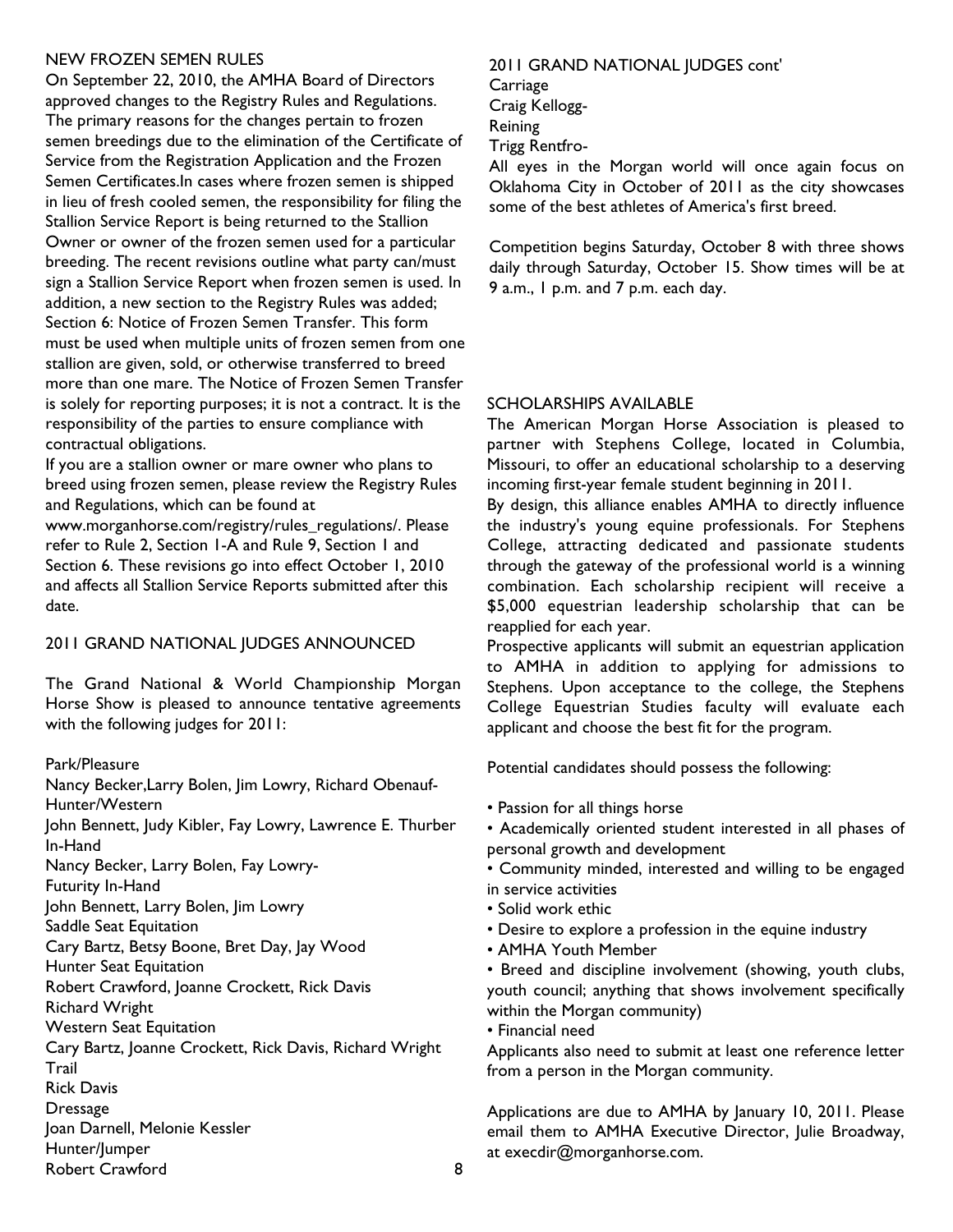# NEW FROZEN SEMEN RULES

On September 22, 2010, the AMHA Board of Directors approved changes to the Registry Rules and Regulations. The primary reasons for the changes pertain to frozen semen breedings due to the elimination of the Certificate of Service from the Registration Application and the Frozen Semen Certificates.In cases where frozen semen is shipped in lieu of fresh cooled semen, the responsibility for filing the Stallion Service Report is being returned to the Stallion Owner or owner of the frozen semen used for a particular breeding. The recent revisions outline what party can/must sign a Stallion Service Report when frozen semen is used. In addition, a new section to the Registry Rules was added; Section 6: Notice of Frozen Semen Transfer. This form must be used when multiple units of frozen semen from one stallion are given, sold, or otherwise transferred to breed more than one mare. The Notice of Frozen Semen Transfer is solely for reporting purposes; it is not a contract. It is the responsibility of the parties to ensure compliance with contractual obligations.

If you are a stallion owner or mare owner who plans to breed using frozen semen, please review the Registry Rules and Regulations, which can be found at

www.morganhorse.com/registry/rules\_regulations/. Please refer to Rule 2, Section 1-A and Rule 9, Section 1 and Section 6. These revisions go into effect October 1, 2010 and affects all Stallion Service Reports submitted after this date.

# 2011 GRAND NATIONAL JUDGES ANNOUNCED

The Grand National & World Championship Morgan Horse Show is pleased to announce tentative agreements with the following judges for 2011:

## Park/Pleasure

Nancy Becker,Larry Bolen, Jim Lowry, Richard Obenauf-Hunter/Western

John Bennett, Judy Kibler, Fay Lowry, Lawrence E. Thurber In-Hand

Nancy Becker, Larry Bolen, Fay Lowry-

Futurity In-Hand

John Bennett, Larry Bolen, Jim Lowry

Saddle Seat Equitation

Cary Bartz, Betsy Boone, Bret Day, Jay Wood

Hunter Seat Equitation

Robert Crawford, Joanne Crockett, Rick Davis

Richard Wright

Western Seat Equitation

Cary Bartz, Joanne Crockett, Rick Davis, Richard Wright Trail

Rick Davis

**Dressage** 

Joan Darnell, Melonie Kessler

Hunter/Jumper

Robert Crawford

## 2011 GRAND NATIONAL JUDGES cont'

**Carriage** 

Craig Kellogg-

Reining

Trigg Rentfro-

All eyes in the Morgan world will once again focus on Oklahoma City in October of 2011 as the city showcases some of the best athletes of America's first breed.

Competition begins Saturday, October 8 with three shows daily through Saturday, October 15. Show times will be at 9 a.m., 1 p.m. and 7 p.m. each day.

# SCHOLARSHIPS AVAILABLE

The American Morgan Horse Association is pleased to partner with Stephens College, located in Columbia, Missouri, to offer an educational scholarship to a deserving incoming first-year female student beginning in 2011.

By design, this alliance enables AMHA to directly influence the industry's young equine professionals. For Stephens College, attracting dedicated and passionate students through the gateway of the professional world is a winning combination. Each scholarship recipient will receive a \$5,000 equestrian leadership scholarship that can be reapplied for each year.

Prospective applicants will submit an equestrian application to AMHA in addition to applying for admissions to Stephens. Upon acceptance to the college, the Stephens College Equestrian Studies faculty will evaluate each applicant and choose the best fit for the program.

Potential candidates should possess the following:

• Passion for all things horse

• Academically oriented student interested in all phases of personal growth and development

• Community minded, interested and willing to be engaged in service activities

- Solid work ethic
- Desire to explore a profession in the equine industry
- AMHA Youth Member

• Breed and discipline involvement (showing, youth clubs, youth council; anything that shows involvement specifically within the Morgan community)

• Financial need

Applicants also need to submit at least one reference letter from a person in the Morgan community.

Applications are due to AMHA by January 10, 2011. Please email them to AMHA Executive Director, Julie Broadway, at execdir@morganhorse.com.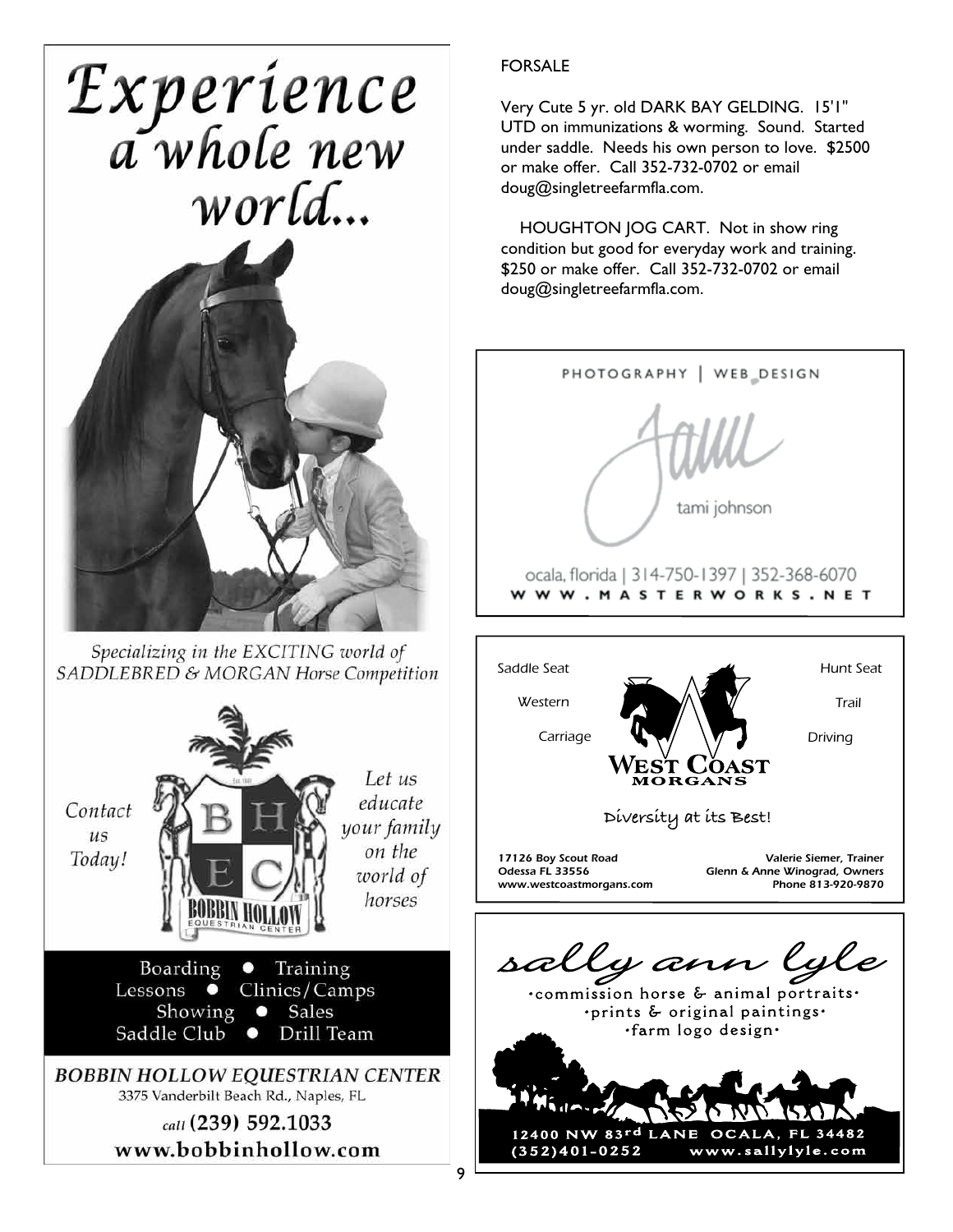



Specializing in the EXCITING world of SADDLEBRED & MORGAN Horse Competition



# FORSALE

Very Cute 5 yr. old DARK BAY GELDING. 15'1" UTD on immunizations & worming. Sound. Started under saddle. Needs his own person to love. \$2500 or make offer. Call 352-732-0702 or email doug@singletreefarmfla.com.

HOUGHTON JOG CART. Not in show ring condition but good for everyday work and training. \$250 or make offer. Call 352-732-0702 or email doug@singletreefarmfla.com.

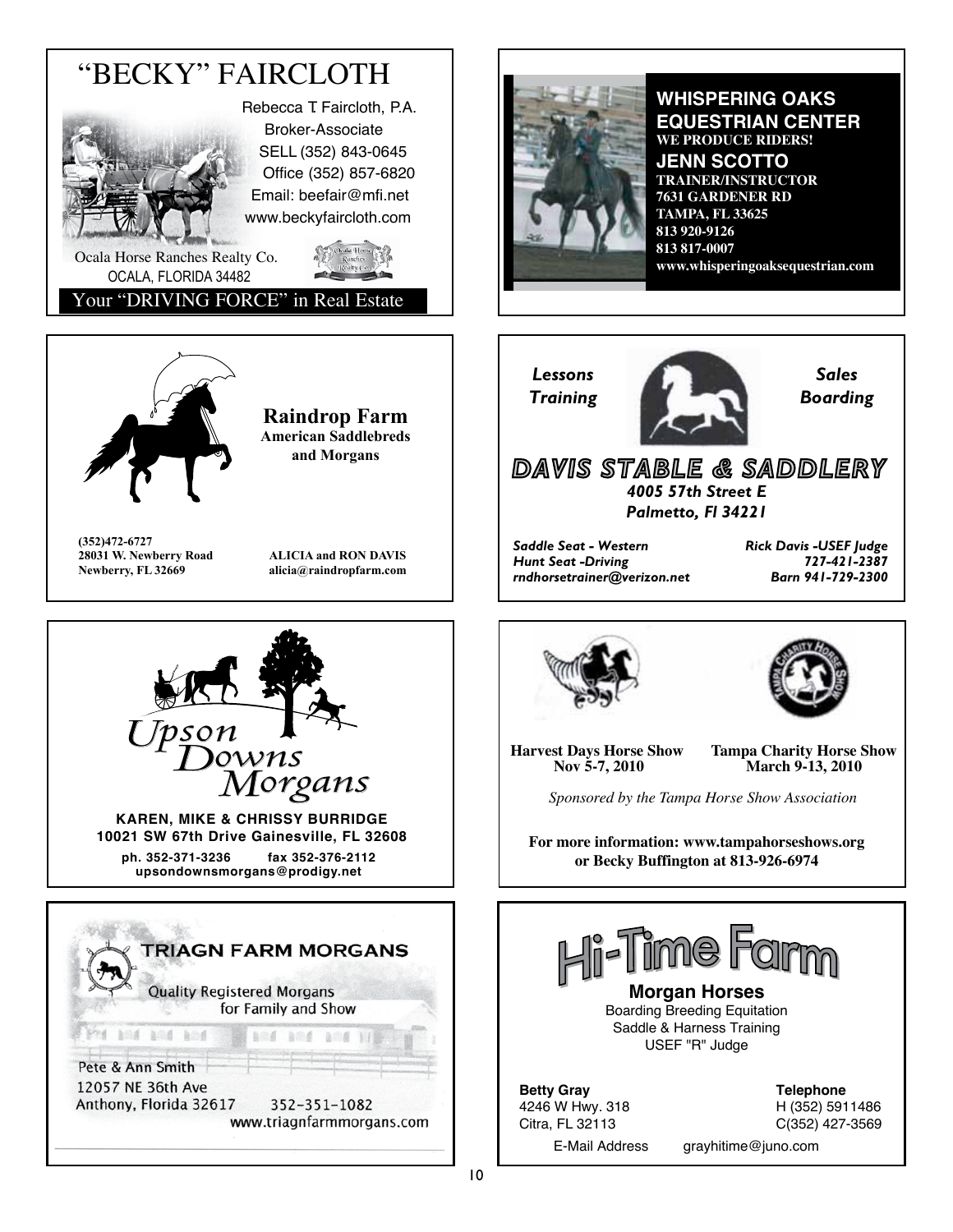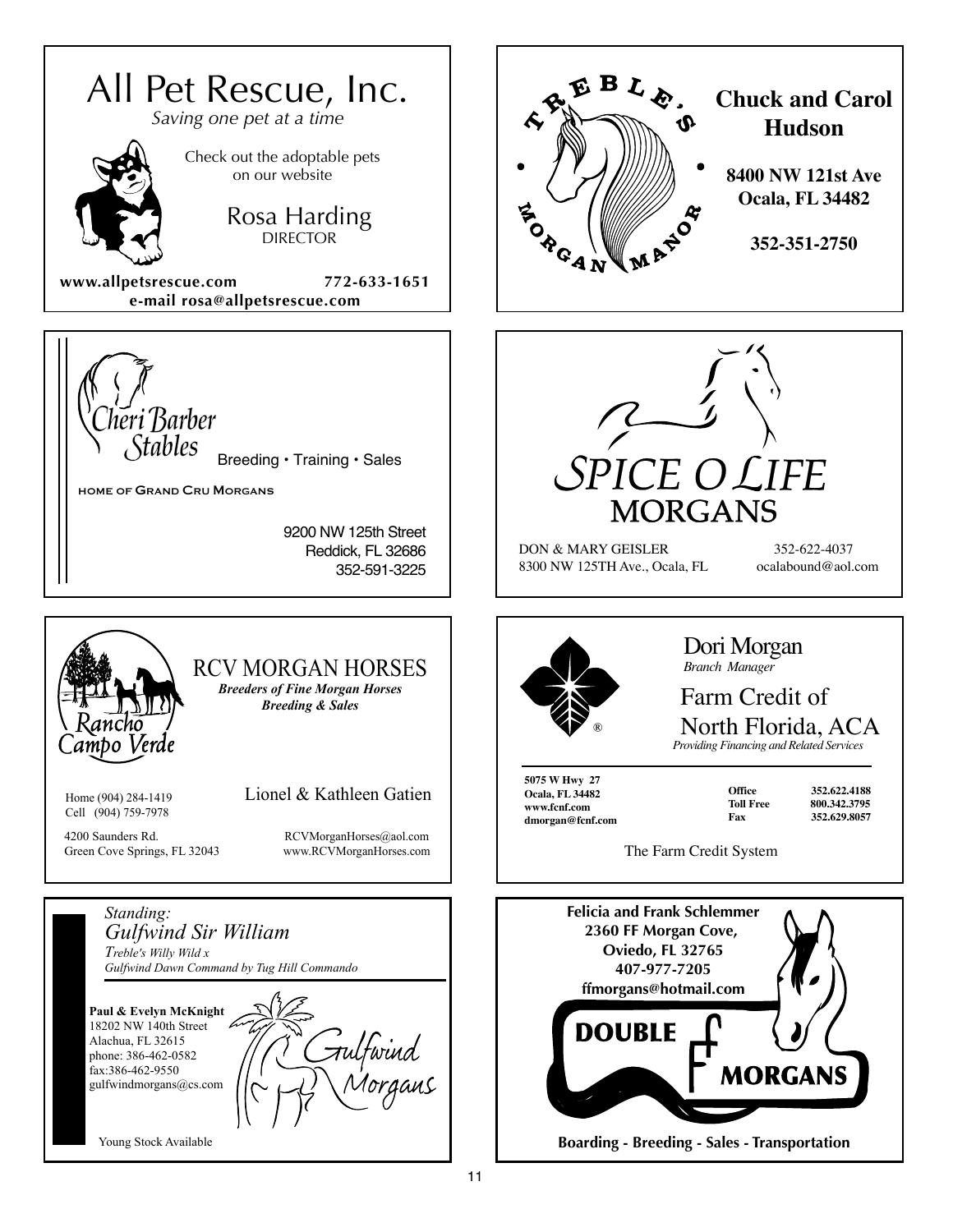